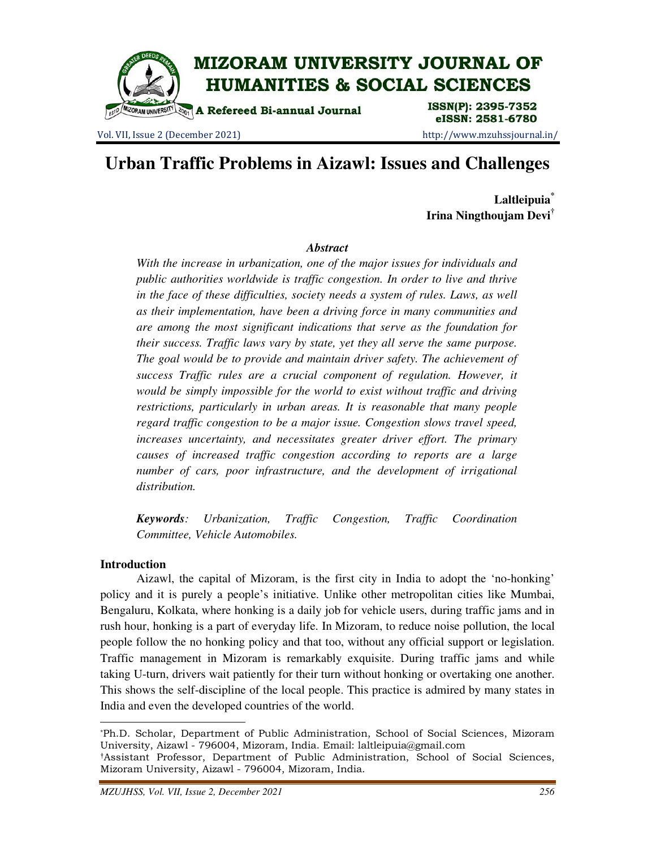

Vol. VII, Issue 2 (December 2021) http://www.mzuhssjournal.in/

eISSN: 2581-6780

# **Urban Traffic Problems in Aizawl: Issues and Challenges**

**Laltleipuia\* Irina Ningthoujam Devi†**

# *Abstract*

*With the increase in urbanization, one of the major issues for individuals and public authorities worldwide is traffic congestion. In order to live and thrive in the face of these difficulties, society needs a system of rules. Laws, as well as their implementation, have been a driving force in many communities and are among the most significant indications that serve as the foundation for their success. Traffic laws vary by state, yet they all serve the same purpose. The goal would be to provide and maintain driver safety. The achievement of success Traffic rules are a crucial component of regulation. However, it would be simply impossible for the world to exist without traffic and driving restrictions, particularly in urban areas. It is reasonable that many people regard traffic congestion to be a major issue. Congestion slows travel speed, increases uncertainty, and necessitates greater driver effort. The primary causes of increased traffic congestion according to reports are a large number of cars, poor infrastructure, and the development of irrigational distribution.* 

*Keywords: Urbanization, Traffic Congestion, Traffic Coordination Committee, Vehicle Automobiles.* 

# **Introduction**

 $\overline{a}$ 

 Aizawl, the capital of Mizoram, is the first city in India to adopt the 'no-honking' policy and it is purely a people's initiative. Unlike other metropolitan cities like Mumbai, Bengaluru, Kolkata, where honking is a daily job for vehicle users, during traffic jams and in rush hour, honking is a part of everyday life. In Mizoram, to reduce noise pollution, the local people follow the no honking policy and that too, without any official support or legislation. Traffic management in Mizoram is remarkably exquisite. During traffic jams and while taking U-turn, drivers wait patiently for their turn without honking or overtaking one another. This shows the self-discipline of the local people. This practice is admired by many states in India and even the developed countries of the world.

<sup>\*</sup>Ph.D. Scholar, Department of Public Administration, School of Social Sciences, Mizoram University, Aizawl - 796004, Mizoram, India. Email: laltleipuia@gmail.com

<sup>†</sup>Assistant Professor, Department of Public Administration, School of Social Sciences, Mizoram University, Aizawl - 796004, Mizoram, India.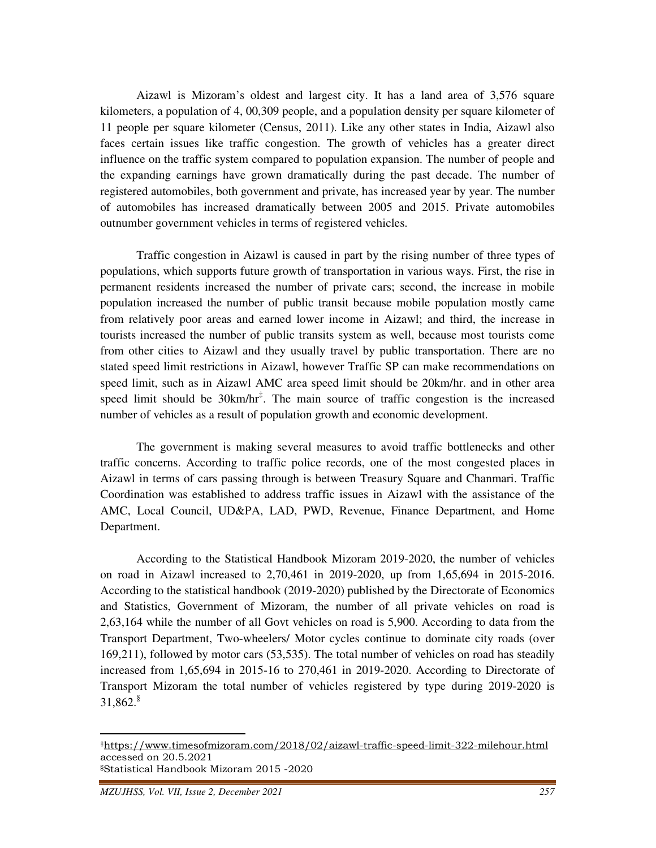Aizawl is Mizoram's oldest and largest city. It has a land area of 3,576 square kilometers, a population of 4, 00,309 people, and a population density per square kilometer of 11 people per square kilometer (Census, 2011). Like any other states in India, Aizawl also faces certain issues like traffic congestion. The growth of vehicles has a greater direct influence on the traffic system compared to population expansion. The number of people and the expanding earnings have grown dramatically during the past decade. The number of registered automobiles, both government and private, has increased year by year. The number of automobiles has increased dramatically between 2005 and 2015. Private automobiles outnumber government vehicles in terms of registered vehicles.

 Traffic congestion in Aizawl is caused in part by the rising number of three types of populations, which supports future growth of transportation in various ways. First, the rise in permanent residents increased the number of private cars; second, the increase in mobile population increased the number of public transit because mobile population mostly came from relatively poor areas and earned lower income in Aizawl; and third, the increase in tourists increased the number of public transits system as well, because most tourists come from other cities to Aizawl and they usually travel by public transportation. There are no stated speed limit restrictions in Aizawl, however Traffic SP can make recommendations on speed limit, such as in Aizawl AMC area speed limit should be 20km/hr. and in other area speed limit should be  $30 \text{km/hr}^{\ddagger}$ . The main source of traffic congestion is the increased number of vehicles as a result of population growth and economic development.

 The government is making several measures to avoid traffic bottlenecks and other traffic concerns. According to traffic police records, one of the most congested places in Aizawl in terms of cars passing through is between Treasury Square and Chanmari. Traffic Coordination was established to address traffic issues in Aizawl with the assistance of the AMC, Local Council, UD&PA, LAD, PWD, Revenue, Finance Department, and Home Department.

 According to the Statistical Handbook Mizoram 2019-2020, the number of vehicles on road in Aizawl increased to 2,70,461 in 2019-2020, up from 1,65,694 in 2015-2016. According to the statistical handbook (2019-2020) published by the Directorate of Economics and Statistics, Government of Mizoram, the number of all private vehicles on road is 2,63,164 while the number of all Govt vehicles on road is 5,900. According to data from the Transport Department, Two-wheelers/ Motor cycles continue to dominate city roads (over 169,211), followed by motor cars (53,535). The total number of vehicles on road has steadily increased from 1,65,694 in 2015-16 to 270,461 in 2019-2020. According to Directorate of Transport Mizoram the total number of vehicles registered by type during 2019-2020 is  $31,862$ .

 $\overline{a}$ 

<sup>‡</sup>https://www.timesofmizoram.com/2018/02/aizawl-traffic-speed-limit-322-milehour.html accessed on 20.5.2021 §Statistical Handbook Mizoram 2015 -2020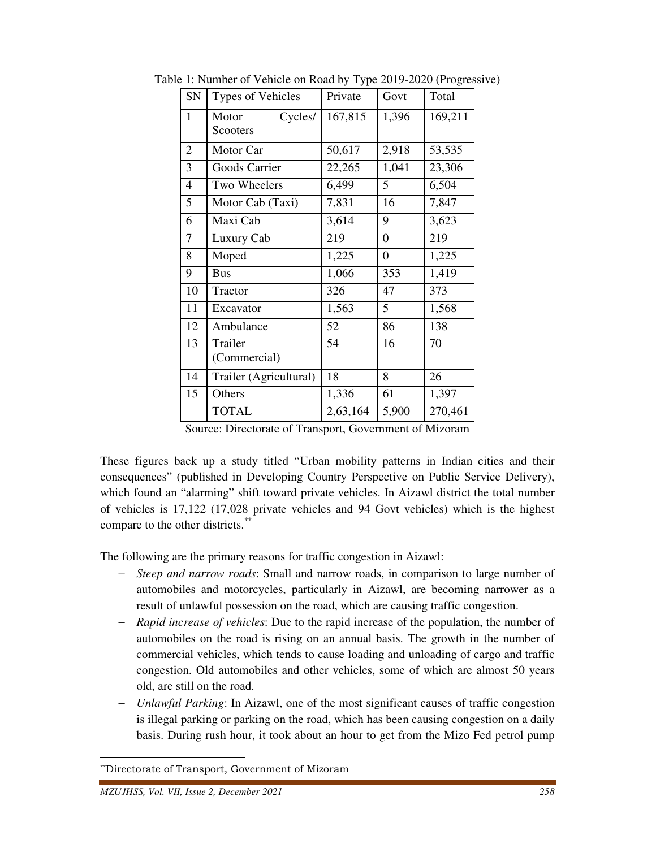| SN             | Types of Vehicles            | Private  | Govt             | Total   |
|----------------|------------------------------|----------|------------------|---------|
| $\mathbf{1}$   | Cycles/<br>Motor<br>Scooters | 167,815  | 1,396            | 169,211 |
| $\overline{2}$ | Motor Car                    | 50,617   | 2,918            | 53,535  |
| 3              | Goods Carrier                | 22,265   | 1,041            | 23,306  |
| 4              | Two Wheelers                 | 6,499    | 5                | 6,504   |
| 5              | Motor Cab (Taxi)             | 7,831    | 16               | 7,847   |
| 6              | Maxi Cab                     | 3,614    | 9                | 3,623   |
| 7              | Luxury Cab                   | 219      | $\boldsymbol{0}$ | 219     |
| 8              | Moped                        | 1,225    | $\boldsymbol{0}$ | 1,225   |
| 9              | <b>Bus</b>                   | 1,066    | 353              | 1,419   |
| 10             | Tractor                      | 326      | 47               | 373     |
| 11             | Excavator                    | 1,563    | 5                | 1,568   |
| 12             | Ambulance                    | 52       | 86               | 138     |
| 13             | Trailer<br>(Commercial)      | 54       | 16               | 70      |
| 14             | Trailer (Agricultural)       | 18       | 8                | 26      |
| 15             | Others                       | 1,336    | 61               | 1,397   |
|                | <b>TOTAL</b>                 | 2,63,164 | 5,900            | 270,461 |

Table 1: Number of Vehicle on Road by Type 2019-2020 (Progressive)

Source: Directorate of Transport, Government of Mizoram

These figures back up a study titled "Urban mobility patterns in Indian cities and their consequences" (published in Developing Country Perspective on Public Service Delivery), which found an "alarming" shift toward private vehicles. In Aizawl district the total number of vehicles is 17,122 (17,028 private vehicles and 94 Govt vehicles) which is the highest compare to the other districts.\*\*

The following are the primary reasons for traffic congestion in Aizawl:

- − *Steep and narrow roads*: Small and narrow roads, in comparison to large number of automobiles and motorcycles, particularly in Aizawl, are becoming narrower as a result of unlawful possession on the road, which are causing traffic congestion.
- − *Rapid increase of vehicles*: Due to the rapid increase of the population, the number of automobiles on the road is rising on an annual basis. The growth in the number of commercial vehicles, which tends to cause loading and unloading of cargo and traffic congestion. Old automobiles and other vehicles, some of which are almost 50 years old, are still on the road.
- − *Unlawful Parking*: In Aizawl, one of the most significant causes of traffic congestion is illegal parking or parking on the road, which has been causing congestion on a daily basis. During rush hour, it took about an hour to get from the Mizo Fed petrol pump

<u>.</u>

<sup>\*\*</sup>Directorate of Transport, Government of Mizoram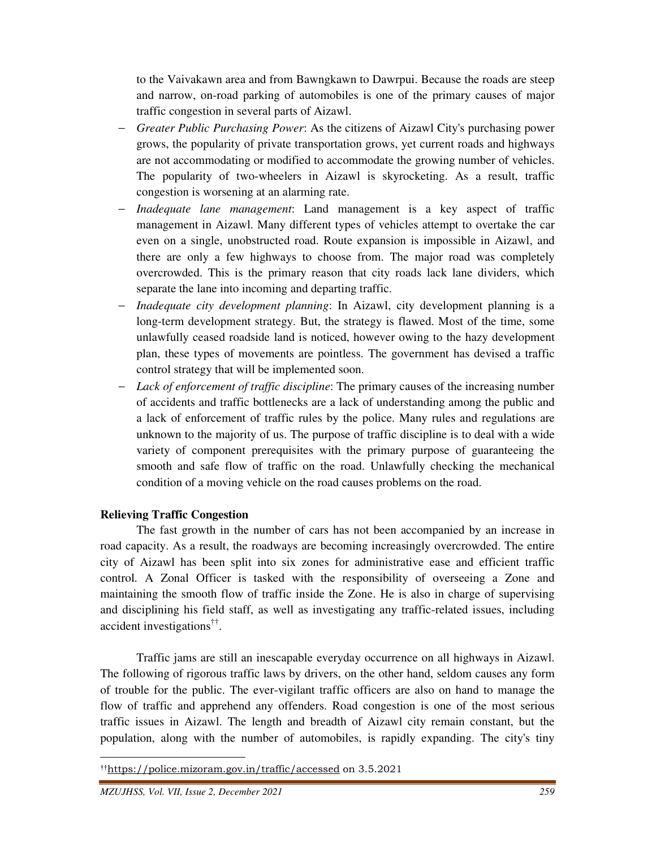to the Vaivakawn area and from Bawngkawn to Dawrpui. Because the roads are steep and narrow, on-road parking of automobiles is one of the primary causes of major traffic congestion in several parts of Aizawl.

- − *Greater Public Purchasing Power*: As the citizens of Aizawl City's purchasing power grows, the popularity of private transportation grows, yet current roads and highways are not accommodating or modified to accommodate the growing number of vehicles. The popularity of two-wheelers in Aizawl is skyrocketing. As a result, traffic congestion is worsening at an alarming rate.
- − *Inadequate lane management*: Land management is a key aspect of traffic management in Aizawl. Many different types of vehicles attempt to overtake the car even on a single, unobstructed road. Route expansion is impossible in Aizawl, and there are only a few highways to choose from. The major road was completely overcrowded. This is the primary reason that city roads lack lane dividers, which separate the lane into incoming and departing traffic.
- − *Inadequate city development planning*: In Aizawl, city development planning is a long-term development strategy. But, the strategy is flawed. Most of the time, some unlawfully ceased roadside land is noticed, however owing to the hazy development plan, these types of movements are pointless. The government has devised a traffic control strategy that will be implemented soon.
- − *Lack of enforcement of traffic discipline*: The primary causes of the increasing number of accidents and traffic bottlenecks are a lack of understanding among the public and a lack of enforcement of traffic rules by the police. Many rules and regulations are unknown to the majority of us. The purpose of traffic discipline is to deal with a wide variety of component prerequisites with the primary purpose of guaranteeing the smooth and safe flow of traffic on the road. Unlawfully checking the mechanical condition of a moving vehicle on the road causes problems on the road.

# **Relieving Traffic Congestion**

 The fast growth in the number of cars has not been accompanied by an increase in road capacity. As a result, the roadways are becoming increasingly overcrowded. The entire city of Aizawl has been split into six zones for administrative ease and efficient traffic control. A Zonal Officer is tasked with the responsibility of overseeing a Zone and maintaining the smooth flow of traffic inside the Zone. He is also in charge of supervising and disciplining his field staff, as well as investigating any traffic-related issues, including accident investigations†† .

 Traffic jams are still an inescapable everyday occurrence on all highways in Aizawl. The following of rigorous traffic laws by drivers, on the other hand, seldom causes any form of trouble for the public. The ever-vigilant traffic officers are also on hand to manage the flow of traffic and apprehend any offenders. Road congestion is one of the most serious traffic issues in Aizawl. The length and breadth of Aizawl city remain constant, but the population, along with the number of automobiles, is rapidly expanding. The city's tiny

<u>.</u>

<sup>††</sup>https://police.mizoram.gov.in/traffic/accessed on 3.5.2021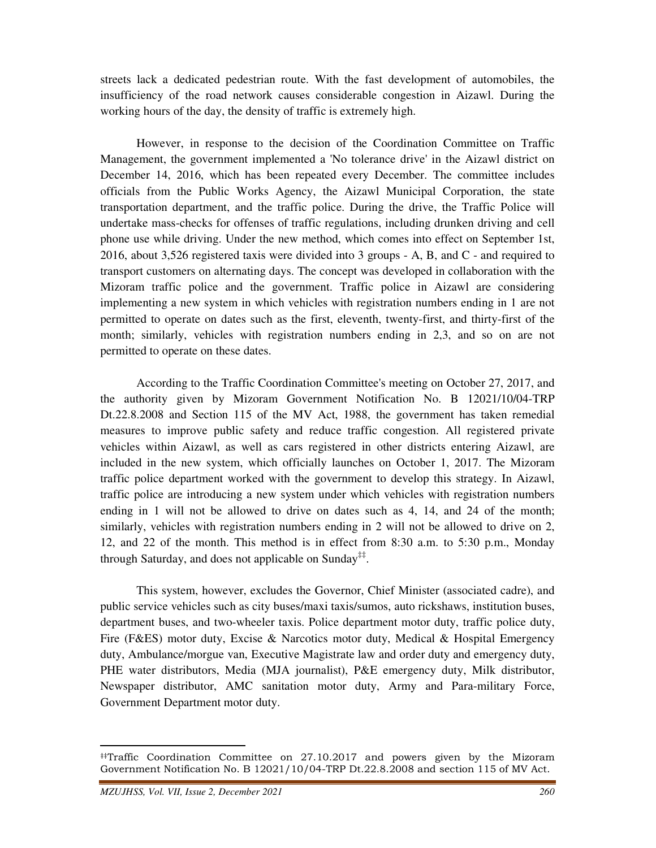streets lack a dedicated pedestrian route. With the fast development of automobiles, the insufficiency of the road network causes considerable congestion in Aizawl. During the working hours of the day, the density of traffic is extremely high.

 However, in response to the decision of the Coordination Committee on Traffic Management, the government implemented a 'No tolerance drive' in the Aizawl district on December 14, 2016, which has been repeated every December. The committee includes officials from the Public Works Agency, the Aizawl Municipal Corporation, the state transportation department, and the traffic police. During the drive, the Traffic Police will undertake mass-checks for offenses of traffic regulations, including drunken driving and cell phone use while driving. Under the new method, which comes into effect on September 1st, 2016, about 3,526 registered taxis were divided into 3 groups - A, B, and C - and required to transport customers on alternating days. The concept was developed in collaboration with the Mizoram traffic police and the government. Traffic police in Aizawl are considering implementing a new system in which vehicles with registration numbers ending in 1 are not permitted to operate on dates such as the first, eleventh, twenty-first, and thirty-first of the month; similarly, vehicles with registration numbers ending in 2,3, and so on are not permitted to operate on these dates.

 According to the Traffic Coordination Committee's meeting on October 27, 2017, and the authority given by Mizoram Government Notification No. B 12021/10/04-TRP Dt.22.8.2008 and Section 115 of the MV Act, 1988, the government has taken remedial measures to improve public safety and reduce traffic congestion. All registered private vehicles within Aizawl, as well as cars registered in other districts entering Aizawl, are included in the new system, which officially launches on October 1, 2017. The Mizoram traffic police department worked with the government to develop this strategy. In Aizawl, traffic police are introducing a new system under which vehicles with registration numbers ending in 1 will not be allowed to drive on dates such as 4, 14, and 24 of the month; similarly, vehicles with registration numbers ending in 2 will not be allowed to drive on 2, 12, and 22 of the month. This method is in effect from 8:30 a.m. to 5:30 p.m., Monday through Saturday, and does not applicable on Sunday<sup>‡‡</sup>.

 This system, however, excludes the Governor, Chief Minister (associated cadre), and public service vehicles such as city buses/maxi taxis/sumos, auto rickshaws, institution buses, department buses, and two-wheeler taxis. Police department motor duty, traffic police duty, Fire (F&ES) motor duty, Excise & Narcotics motor duty, Medical & Hospital Emergency duty, Ambulance/morgue van, Executive Magistrate law and order duty and emergency duty, PHE water distributors, Media (MJA journalist), P&E emergency duty, Milk distributor, Newspaper distributor, AMC sanitation motor duty, Army and Para-military Force, Government Department motor duty.

 $\overline{a}$ 

<sup>‡‡</sup>Traffic Coordination Committee on 27.10.2017 and powers given by the Mizoram Government Notification No. B 12021/10/04-TRP Dt.22.8.2008 and section 115 of MV Act.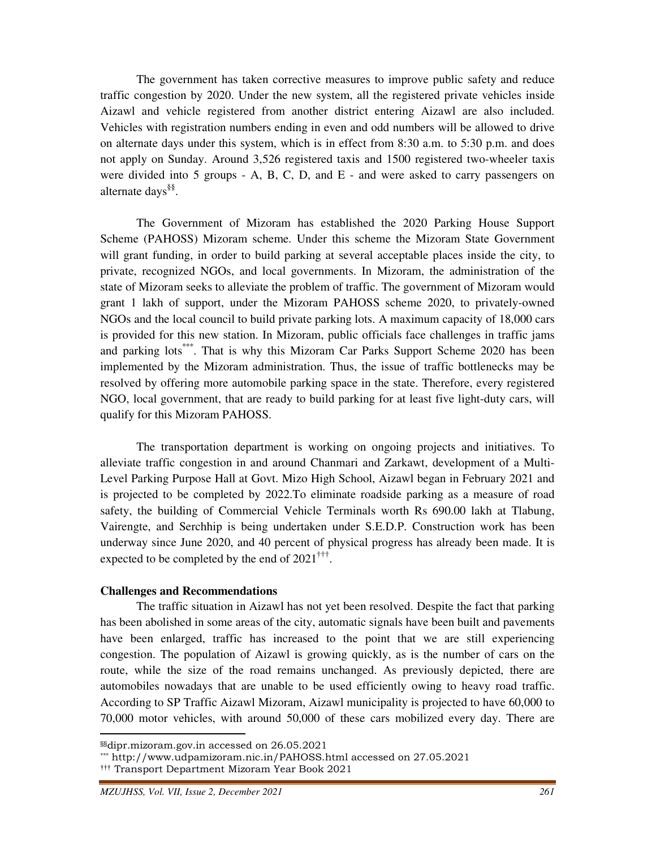The government has taken corrective measures to improve public safety and reduce traffic congestion by 2020. Under the new system, all the registered private vehicles inside Aizawl and vehicle registered from another district entering Aizawl are also included. Vehicles with registration numbers ending in even and odd numbers will be allowed to drive on alternate days under this system, which is in effect from 8:30 a.m. to 5:30 p.m. and does not apply on Sunday. Around 3,526 registered taxis and 1500 registered two-wheeler taxis were divided into 5 groups  $-$  A, B, C, D, and E  $-$  and were asked to carry passengers on alternate days§§ .

 The Government of Mizoram has established the 2020 Parking House Support Scheme (PAHOSS) Mizoram scheme. Under this scheme the Mizoram State Government will grant funding, in order to build parking at several acceptable places inside the city, to private, recognized NGOs, and local governments. In Mizoram, the administration of the state of Mizoram seeks to alleviate the problem of traffic. The government of Mizoram would grant 1 lakh of support, under the Mizoram PAHOSS scheme 2020, to privately-owned NGOs and the local council to build private parking lots. A maximum capacity of 18,000 cars is provided for this new station. In Mizoram, public officials face challenges in traffic jams and parking lots<sup>\*\*\*</sup>. That is why this Mizoram Car Parks Support Scheme 2020 has been implemented by the Mizoram administration. Thus, the issue of traffic bottlenecks may be resolved by offering more automobile parking space in the state. Therefore, every registered NGO, local government, that are ready to build parking for at least five light-duty cars, will qualify for this Mizoram PAHOSS.

 The transportation department is working on ongoing projects and initiatives. To alleviate traffic congestion in and around Chanmari and Zarkawt, development of a Multi-Level Parking Purpose Hall at Govt. Mizo High School, Aizawl began in February 2021 and is projected to be completed by 2022.To eliminate roadside parking as a measure of road safety, the building of Commercial Vehicle Terminals worth Rs 690.00 lakh at Tlabung, Vairengte, and Serchhip is being undertaken under S.E.D.P. Construction work has been underway since June 2020, and 40 percent of physical progress has already been made. It is expected to be completed by the end of  $2021^{++}$ .

#### **Challenges and Recommendations**

 The traffic situation in Aizawl has not yet been resolved. Despite the fact that parking has been abolished in some areas of the city, automatic signals have been built and pavements have been enlarged, traffic has increased to the point that we are still experiencing congestion. The population of Aizawl is growing quickly, as is the number of cars on the route, while the size of the road remains unchanged. As previously depicted, there are automobiles nowadays that are unable to be used efficiently owing to heavy road traffic. According to SP Traffic Aizawl Mizoram, Aizawl municipality is projected to have 60,000 to 70,000 motor vehicles, with around 50,000 of these cars mobilized every day. There are

 $\overline{a}$ 

<sup>§§</sup>dipr.mizoram.gov.in accessed on 26.05.2021

<sup>\*\*\*</sup> http://www.udpamizoram.nic.in/PAHOSS.html accessed on 27.05.2021

<sup>†††</sup> Transport Department Mizoram Year Book 2021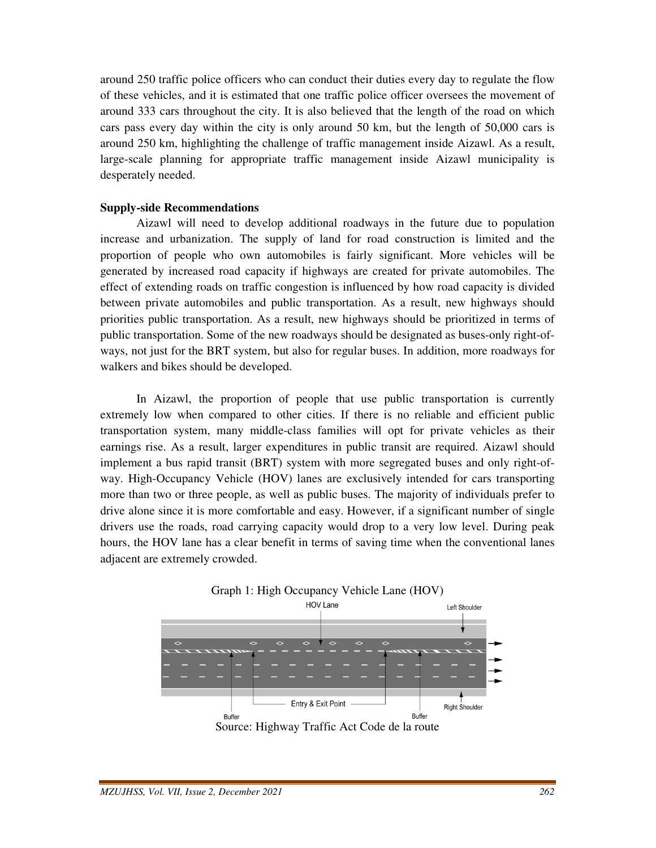around 250 traffic police officers who can conduct their duties every day to regulate the flow of these vehicles, and it is estimated that one traffic police officer oversees the movement of around 333 cars throughout the city. It is also believed that the length of the road on which cars pass every day within the city is only around 50 km, but the length of 50,000 cars is around 250 km, highlighting the challenge of traffic management inside Aizawl. As a result, large-scale planning for appropriate traffic management inside Aizawl municipality is desperately needed.

## **Supply-side Recommendations**

 Aizawl will need to develop additional roadways in the future due to population increase and urbanization. The supply of land for road construction is limited and the proportion of people who own automobiles is fairly significant. More vehicles will be generated by increased road capacity if highways are created for private automobiles. The effect of extending roads on traffic congestion is influenced by how road capacity is divided between private automobiles and public transportation. As a result, new highways should priorities public transportation. As a result, new highways should be prioritized in terms of public transportation. Some of the new roadways should be designated as buses-only right-ofways, not just for the BRT system, but also for regular buses. In addition, more roadways for walkers and bikes should be developed.

 In Aizawl, the proportion of people that use public transportation is currently extremely low when compared to other cities. If there is no reliable and efficient public transportation system, many middle-class families will opt for private vehicles as their earnings rise. As a result, larger expenditures in public transit are required. Aizawl should implement a bus rapid transit (BRT) system with more segregated buses and only right-ofway. High-Occupancy Vehicle (HOV) lanes are exclusively intended for cars transporting more than two or three people, as well as public buses. The majority of individuals prefer to drive alone since it is more comfortable and easy. However, if a significant number of single drivers use the roads, road carrying capacity would drop to a very low level. During peak hours, the HOV lane has a clear benefit in terms of saving time when the conventional lanes adjacent are extremely crowded.

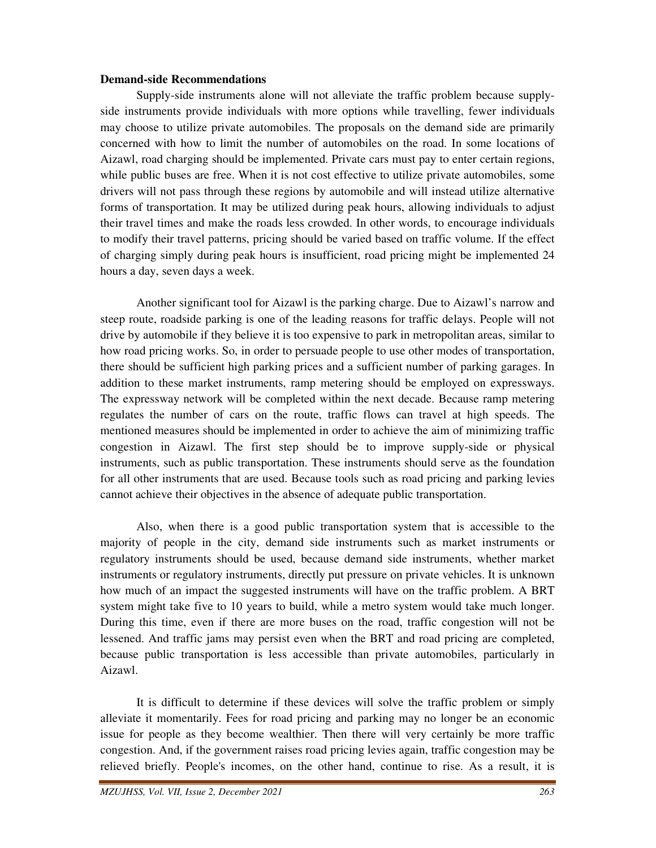## **Demand-side Recommendations**

 Supply-side instruments alone will not alleviate the traffic problem because supplyside instruments provide individuals with more options while travelling, fewer individuals may choose to utilize private automobiles. The proposals on the demand side are primarily concerned with how to limit the number of automobiles on the road. In some locations of Aizawl, road charging should be implemented. Private cars must pay to enter certain regions, while public buses are free. When it is not cost effective to utilize private automobiles, some drivers will not pass through these regions by automobile and will instead utilize alternative forms of transportation. It may be utilized during peak hours, allowing individuals to adjust their travel times and make the roads less crowded. In other words, to encourage individuals to modify their travel patterns, pricing should be varied based on traffic volume. If the effect of charging simply during peak hours is insufficient, road pricing might be implemented 24 hours a day, seven days a week.

 Another significant tool for Aizawl is the parking charge. Due to Aizawl's narrow and steep route, roadside parking is one of the leading reasons for traffic delays. People will not drive by automobile if they believe it is too expensive to park in metropolitan areas, similar to how road pricing works. So, in order to persuade people to use other modes of transportation, there should be sufficient high parking prices and a sufficient number of parking garages. In addition to these market instruments, ramp metering should be employed on expressways. The expressway network will be completed within the next decade. Because ramp metering regulates the number of cars on the route, traffic flows can travel at high speeds. The mentioned measures should be implemented in order to achieve the aim of minimizing traffic congestion in Aizawl. The first step should be to improve supply-side or physical instruments, such as public transportation. These instruments should serve as the foundation for all other instruments that are used. Because tools such as road pricing and parking levies cannot achieve their objectives in the absence of adequate public transportation.

 Also, when there is a good public transportation system that is accessible to the majority of people in the city, demand side instruments such as market instruments or regulatory instruments should be used, because demand side instruments, whether market instruments or regulatory instruments, directly put pressure on private vehicles. It is unknown how much of an impact the suggested instruments will have on the traffic problem. A BRT system might take five to 10 years to build, while a metro system would take much longer. During this time, even if there are more buses on the road, traffic congestion will not be lessened. And traffic jams may persist even when the BRT and road pricing are completed, because public transportation is less accessible than private automobiles, particularly in Aizawl.

 It is difficult to determine if these devices will solve the traffic problem or simply alleviate it momentarily. Fees for road pricing and parking may no longer be an economic issue for people as they become wealthier. Then there will very certainly be more traffic congestion. And, if the government raises road pricing levies again, traffic congestion may be relieved briefly. People's incomes, on the other hand, continue to rise. As a result, it is